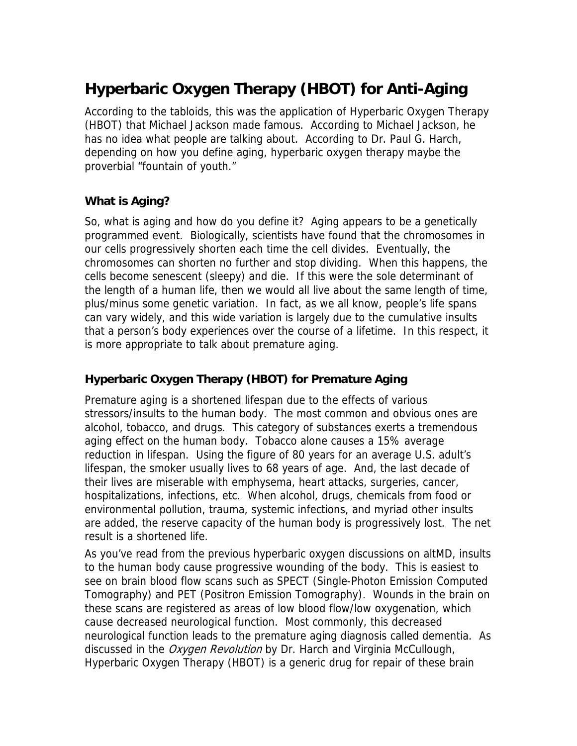# **Hyperbaric Oxygen Therapy (HBOT) for Anti-Aging**

According to the tabloids, this was the application of Hyperbaric Oxygen Therapy (HBOT) that Michael Jackson made famous. According to Michael Jackson, he has no idea what people are talking about. According to Dr. Paul G. Harch, depending on how you define aging, hyperbaric oxygen therapy maybe the proverbial "fountain of youth."

## **What is Aging?**

So, what is aging and how do you define it? Aging appears to be a genetically programmed event. Biologically, scientists have found that the chromosomes in our cells progressively shorten each time the cell divides. Eventually, the chromosomes can shorten no further and stop dividing. When this happens, the cells become senescent (sleepy) and die. If this were the sole determinant of the length of a human life, then we would all live about the same length of time, plus/minus some genetic variation. In fact, as we all know, people's life spans can vary widely, and this wide variation is largely due to the cumulative insults that a person's body experiences over the course of a lifetime. In this respect, it is more appropriate to talk about premature aging.

### **Hyperbaric Oxygen Therapy (HBOT) for Premature Aging**

Premature aging is a shortened lifespan due to the effects of various stressors/insults to the human body. The most common and obvious ones are alcohol, tobacco, and drugs. This category of substances exerts a tremendous aging effect on the human body. Tobacco alone causes a 15% average reduction in lifespan. Using the figure of 80 years for an average U.S. adult's lifespan, the smoker usually lives to 68 years of age. And, the last decade of their lives are miserable with emphysema, heart attacks, surgeries, cancer, hospitalizations, infections, etc. When alcohol, drugs, chemicals from food or environmental pollution, trauma, systemic infections, and myriad other insults are added, the reserve capacity of the human body is progressively lost. The net result is a shortened life.

As you've read from the previous hyperbaric oxygen discussions on [altMD](http://www.altmd.com/Articles/Search/HBOT), insults to the human body cause progressive wounding of the body. This is easiest to see on brain blood flow scans such as SPECT (Single-Photon Emission Computed Tomography) and PET (Positron Emission Tomography). Wounds in the brain on these scans are registered as areas of low blood flow/low oxygenation, which cause decreased neurological function. Most commonly, this decreased neurological function leads to the premature aging diagnosis called dementia. As discussed in the *Oxygen Revolution* by Dr. Harch and Virginia McCullough, Hyperbaric Oxygen Therapy (HBOT) is a generic drug for repair of these brain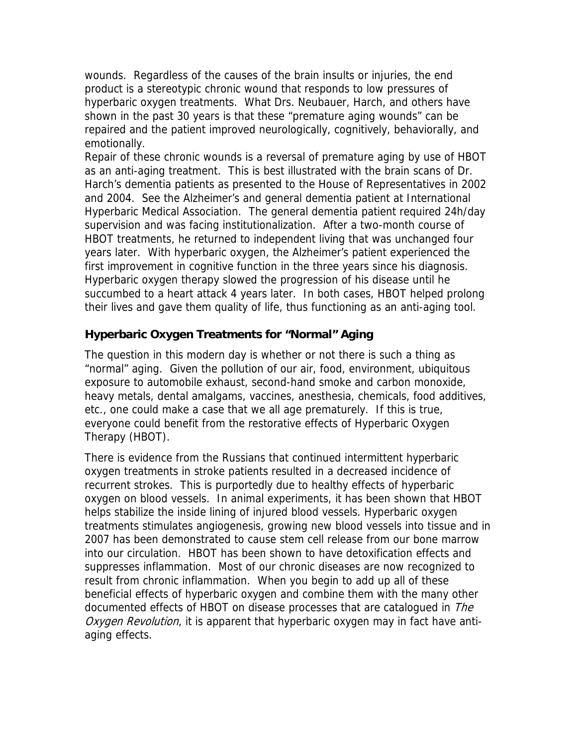wounds. Regardless of the causes of the brain insults or injuries, the end product is a stereotypic chronic wound that responds to low pressures of hyperbaric oxygen treatments. What Drs. Neubauer, Harch, and others have shown in the past 30 years is that these "premature aging wounds" can be repaired and the patient improved neurologically, cognitively, behaviorally, and emotionally.

Repair of these chronic wounds is a reversal of premature aging by use of HBOT as an anti-aging treatment. This is best illustrated with the brain scans of Dr. Harch's dementia patients as presented to the House of Representatives in 2002 and 2004. See the Alzheimer's and general dementia patient at [International](http://www.hyperbaricmedicalassociation.org/congress.htm)  [Hyperbaric Medical Association.](http://www.hyperbaricmedicalassociation.org/congress.htm) The general dementia patient required 24h/day supervision and was facing institutionalization. After a two-month course of HBOT treatments, he returned to independent living that was unchanged four years later. With hyperbaric oxygen, the Alzheimer's patient experienced the first improvement in cognitive function in the three years since his diagnosis. Hyperbaric oxygen therapy slowed the progression of his disease until he succumbed to a heart attack 4 years later. In both cases, HBOT helped prolong their lives and gave them quality of life, thus functioning as an anti-aging tool.

#### **Hyperbaric Oxygen Treatments for "Normal" Aging**

The question in this modern day is whether or not there is such a thing as "normal" aging. Given the pollution of our air, food, environment, ubiquitous exposure to automobile exhaust, second-hand smoke and carbon monoxide, heavy metals, dental amalgams, vaccines, anesthesia, chemicals, food additives, etc., one could make a case that we all age prematurely. If this is true, everyone could benefit from the restorative effects of Hyperbaric Oxygen Therapy (HBOT).

There is evidence from the Russians that continued intermittent hyperbaric oxygen treatments in stroke patients resulted in a decreased incidence of recurrent strokes. This is purportedly due to healthy effects of hyperbaric oxygen on blood vessels. In animal experiments, it has been shown that HBOT helps stabilize the inside lining of injured blood vessels. Hyperbaric oxygen treatments stimulates angiogenesis, growing new blood vessels into tissue and in 2007 has been demonstrated to cause stem cell release from our bone marrow into our circulation. HBOT has been shown to have detoxification effects and suppresses inflammation. Most of our chronic diseases are now recognized to result from chronic inflammation. When you begin to add up all of these beneficial effects of hyperbaric oxygen and combine them with the many other documented effects of HBOT on disease processes that are catalogued in The Oxygen Revolution, it is apparent that hyperbaric oxygen may in fact have antiaging effects.